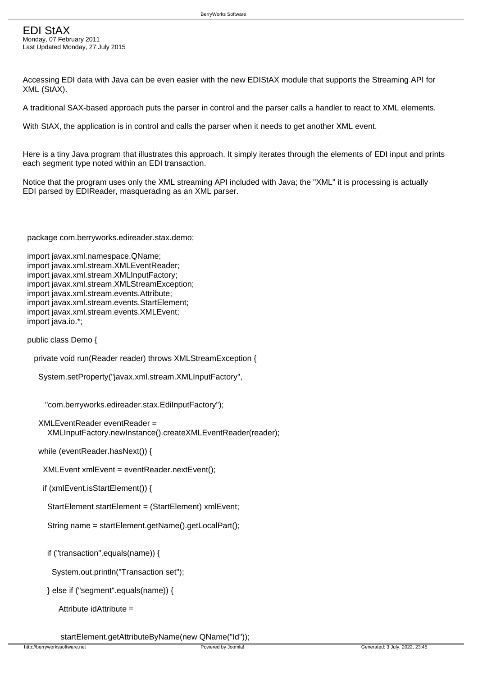Last Updated Monday, 27 July 2015

Accessing EDI data with Java can be even easier with the new EDIStAX module that supports the Streaming API for XML (StAX).

A traditional SAX-based approach puts the parser in control and the parser calls a handler to react to XML elements.

With StAX, the application is in control and calls the parser when it needs to get another XML event.

Here is a tiny Java program that illustrates this approach. It simply iterates through the elements of EDI input and prints each segment type noted within an EDI transaction.

Notice that the program uses only the XML streaming API included with Java; the "XML" it is processing is actually EDI parsed by EDIReader, masquerading as an XML parser.

package com.berryworks.edireader.stax.demo;

 import javax.xml.namespace.QName; import javax.xml.stream.XMLEventReader; import javax.xml.stream.XMLInputFactory; import javax.xml.stream.XMLStreamException; import javax.xml.stream.events.Attribute; import javax.xml.stream.events.StartElement; import javax.xml.stream.events.XMLEvent; import java.jo.\*;

public class Demo {

```
 private void run(Reader reader) throws XMLStreamException {
```
System.setProperty("javax.xml.stream.XMLInputFactory",

"com.berryworks.edireader.stax.EdiInputFactory");

```
 XMLEventReader eventReader = 

  XMLInputFactory.newInstance().createXMLEventReader(reader);
```
while (eventReader.hasNext()) {

XMLEvent xmlEvent = eventReader.nextEvent();

```
 if (xmlEvent.isStartElement()) {
```
StartElement startElement = (StartElement) xmlEvent;

String name = startElement.getName().getLocalPart();

if ("transaction".equals(name)) {

System.out.println("Transaction set");

```
 } else if ("segment".equals(name)) {
```
Attribute idAttribute =

startElement.getAttributeByName(new QName("Id"));